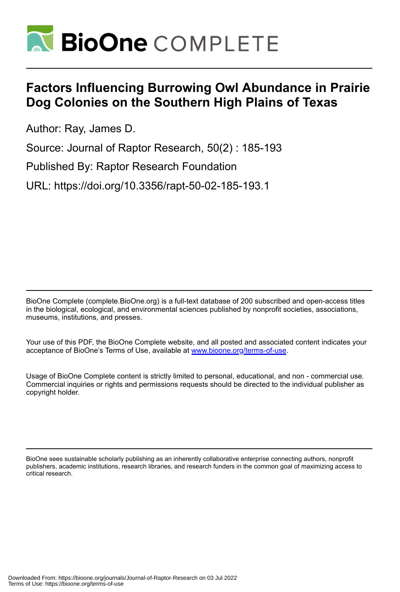

# **Factors Influencing Burrowing Owl Abundance in Prairie Dog Colonies on the Southern High Plains of Texas**

Author: Ray, James D.

Source: Journal of Raptor Research, 50(2) : 185-193

Published By: Raptor Research Foundation

URL: https://doi.org/10.3356/rapt-50-02-185-193.1

BioOne Complete (complete.BioOne.org) is a full-text database of 200 subscribed and open-access titles in the biological, ecological, and environmental sciences published by nonprofit societies, associations, museums, institutions, and presses.

Your use of this PDF, the BioOne Complete website, and all posted and associated content indicates your acceptance of BioOne's Terms of Use, available at www.bioone.org/terms-of-use.

Usage of BioOne Complete content is strictly limited to personal, educational, and non - commercial use. Commercial inquiries or rights and permissions requests should be directed to the individual publisher as copyright holder.

BioOne sees sustainable scholarly publishing as an inherently collaborative enterprise connecting authors, nonprofit publishers, academic institutions, research libraries, and research funders in the common goal of maximizing access to critical research.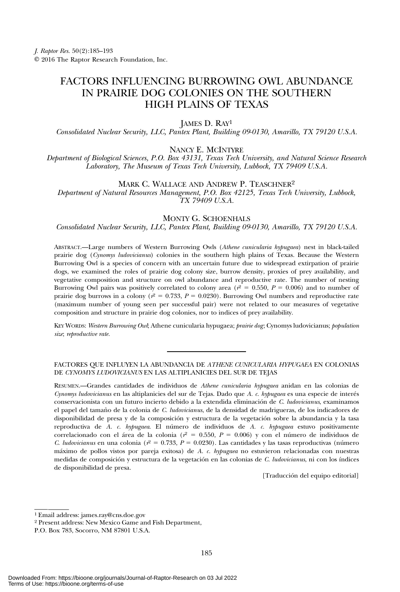# FACTORS INFLUENCING BURROWING OWL ABUNDANCE IN PRAIRIE DOG COLONIES ON THE SOUTHERN HIGH PLAINS OF TEXAS

JAMES D. RAY<sup>1</sup>

Consolidated Nuclear Security, LLC, Pantex Plant, Building 09-0130, Amarillo, TX 79120 U.S.A.

NANCY E. MCINTYRE

Department of Biological Sciences, P.O. Box 43131, Texas Tech University, and Natural Science Research Laboratory, The Museum of Texas Tech University, Lubbock, TX 79409 U.S.A.

MARK C. WALLACE AND ANDREW P. TEASCHNER<sup>2</sup>

Department of Natural Resources Management, P.O. Box 42125, Texas Tech University, Lubbock, TX 79409 U.S.A.

# MONTY G. SCHOENHALS

Consolidated Nuclear Security, LLC, Pantex Plant, Building 09-0130, Amarillo, TX 79120 U.S.A.

ABSTRACT.—Large numbers of Western Burrowing Owls (Athene cunicularia hypugaea) nest in black-tailed prairie dog (Cynomys ludovicianus) colonies in the southern high plains of Texas. Because the Western Burrowing Owl is a species of concern with an uncertain future due to widespread extirpation of prairie dogs, we examined the roles of prairie dog colony size, burrow density, proxies of prey availability, and vegetative composition and structure on owl abundance and reproductive rate. The number of nesting Burrowing Owl pairs was positively correlated to colony area ( $r^2 = 0.550$ ,  $P = 0.006$ ) and to number of prairie dog burrows in a colony ( $r^2 = 0.733$ ,  $P = 0.0230$ ). Burrowing Owl numbers and reproductive rate (maximum number of young seen per successful pair) were not related to our measures of vegetative composition and structure in prairie dog colonies, nor to indices of prey availability.

KEY WORDS: Western Burrowing Owl; Athene cunicularia hypugaea; prairie dog; Cynomys ludovicianus; population size; reproductive rate.

## FACTORES QUE INFLUYEN LA ABUNDANCIA DE ATHENE CUNICULARIA HYPUGAEA EN COLONIAS DE CYNOMYS LUDOVICIANUS EN LAS ALTIPLANICIES DEL SUR DE TEJAS

RESUMEN.—Grandes cantidades de individuos de Athene cunicularia hypugaea anidan en las colonias de Cynomys ludovicianus en las altiplanicies del sur de Tejas. Dado que A. c. hypugaea es una especie de interés conservacionista con un futuro incierto debido a la extendida eliminación de C. ludovicianus, examinamos el papel del tamaño de la colonia de C. ludovicianus, de la densidad de madrigueras, de los indicadores de disponibilidad de presa y de la composición y estructura de la vegetación sobre la abundancia y la tasa reproductiva de A. c. hypugaea. El número de individuos de A. c. hypugaea estuvo positivamente correlacionado con el área de la colonia ( $r^2 = 0.550$ ,  $P = 0.006$ ) y con el número de individuos de C. ludovicianus en una colonia ( $r^2 = 0.733$ ,  $P = 0.0230$ ). Las cantidades y las tasas reproductivas (número máximo de pollos vistos por pareja exitosa) de A. c. hypugaea no estuvieron relacionadas con nuestras medidas de composición y estructura de la vegetación en las colonias de C. ludovicianus, ni con los índices de disponibilidad de presa.

[Traducción del equipo editorial]

<sup>1</sup> Email address: james.ray@cns.doe.gov

<sup>2</sup> Present address: New Mexico Game and Fish Department,

P.O. Box 783, Socorro, NM 87801 U.S.A.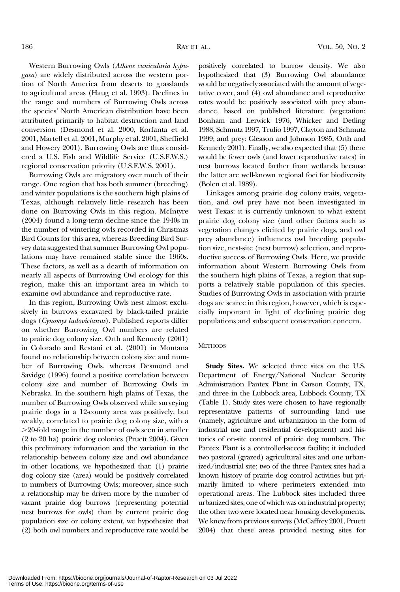Western Burrowing Owls (Athene cunicularia hypugaea) are widely distributed across the western portion of North America from deserts to grasslands to agricultural areas (Haug et al. 1993). Declines in the range and numbers of Burrowing Owls across the species' North American distribution have been attributed primarily to habitat destruction and land conversion (Desmond et al. 2000, Korfanta et al. 2001, Martell et al. 2001, Murphy et al. 2001, Sheffield and Howery 2001). Burrowing Owls are thus considered a U.S. Fish and Wildlife Service (U.S.F.W.S.) regional conservation priority (U.S.F.W.S. 2001).

Burrowing Owls are migratory over much of their range. One region that has both summer (breeding) and winter populations is the southern high plains of Texas, although relatively little research has been done on Burrowing Owls in this region. McIntyre (2004) found a long-term decline since the 1940s in the number of wintering owls recorded in Christmas Bird Counts for this area, whereas Breeding Bird Survey data suggested that summer Burrowing Owl populations may have remained stable since the 1960s. These factors, as well as a dearth of information on nearly all aspects of Burrowing Owl ecology for this region, make this an important area in which to examine owl abundance and reproductive rate.

In this region, Burrowing Owls nest almost exclusively in burrows excavated by black-tailed prairie dogs (Cynomys ludovicianus). Published reports differ on whether Burrowing Owl numbers are related to prairie dog colony size. Orth and Kennedy (2001) in Colorado and Restani et al. (2001) in Montana found no relationship between colony size and number of Burrowing Owls, whereas Desmond and Savidge (1996) found a positive correlation between colony size and number of Burrowing Owls in Nebraska. In the southern high plains of Texas, the number of Burrowing Owls observed while surveying prairie dogs in a 12-county area was positively, but weakly, correlated to prairie dog colony size, with a .20-fold range in the number of owls seen in smaller (2 to 20 ha) prairie dog colonies (Pruett 2004). Given this preliminary information and the variation in the relationship between colony size and owl abundance in other locations, we hypothesized that: (1) prairie dog colony size (area) would be positively correlated to numbers of Burrowing Owls; moreover, since such a relationship may be driven more by the number of vacant prairie dog burrows (representing potential nest burrows for owls) than by current prairie dog population size or colony extent, we hypothesize that (2) both owl numbers and reproductive rate would be

positively correlated to burrow density. We also hypothesized that (3) Burrowing Owl abundance would be negatively associated with the amount of vegetative cover, and (4) owl abundance and reproductive rates would be positively associated with prey abundance, based on published literature (vegetation: Bonham and Lerwick 1976, Whicker and Detling 1988, Schmutz 1997, Trulio 1997, Clayton and Schmutz 1999; and prey: Gleason and Johnson 1985, Orth and Kennedy 2001). Finally, we also expected that (5) there would be fewer owls (and lower reproductive rates) in nest burrows located farther from wetlands because the latter are well-known regional foci for biodiversity (Bolen et al. 1989).

Linkages among prairie dog colony traits, vegetation, and owl prey have not been investigated in west Texas: it is currently unknown to what extent prairie dog colony size (and other factors such as vegetation changes elicited by prairie dogs, and owl prey abundance) influences owl breeding population size, nest-site (nest burrow) selection, and reproductive success of Burrowing Owls. Here, we provide information about Western Burrowing Owls from the southern high plains of Texas, a region that supports a relatively stable population of this species. Studies of Burrowing Owls in association with prairie dogs are scarce in this region, however, which is especially important in light of declining prairie dog populations and subsequent conservation concern.

#### **METHODS**

Study Sites. We selected three sites on the U.S. Department of Energy/National Nuclear Security Administration Pantex Plant in Carson County, TX, and three in the Lubbock area, Lubbock County, TX (Table 1). Study sites were chosen to have regionally representative patterns of surrounding land use (namely, agriculture and urbanization in the form of industrial use and residential development) and histories of on-site control of prairie dog numbers. The Pantex Plant is a controlled-access facility; it included two pastoral (grazed) agricultural sites and one urbanized/industrial site; two of the three Pantex sites had a known history of prairie dog control activities but primarily limited to where perimeters extended into operational areas. The Lubbock sites included three urbanized sites, one of which was on industrial property; the other two were located near housing developments. We knew from previous surveys (McCaffrey 2001, Pruett 2004) that these areas provided nesting sites for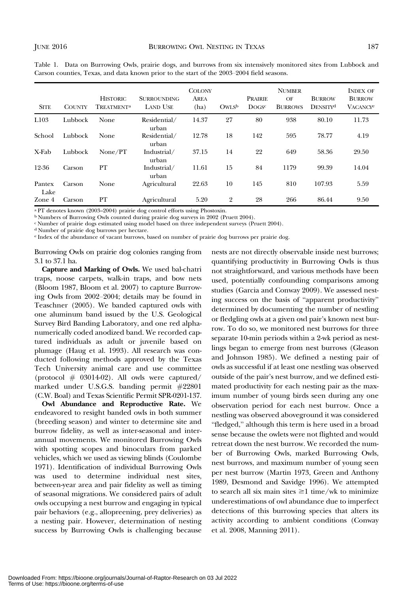| <b>SITE</b>    | <b>COUNTY</b> | <b>HISTORIC</b><br>TREATMENT <sup>a</sup> | <b>SURROUNDING</b><br><b>LAND USE</b> | <b>COLONY</b><br>AREA<br>(ha) | OWLSb          | PRAIRIE<br>DOGS <sup>c</sup> | <b>NUMBER</b><br>OF<br><b>BURROWS</b> | <b>BURROW</b><br>DENSITY <sup>d</sup> | <b>INDEX OF</b><br><b>BURROW</b><br><b>VACANCY</b> <sup>e</sup> |
|----------------|---------------|-------------------------------------------|---------------------------------------|-------------------------------|----------------|------------------------------|---------------------------------------|---------------------------------------|-----------------------------------------------------------------|
| L103           | Lubbock       | None                                      | Residential/<br>urban                 | 14.37                         | 27             | 80                           | 938                                   | 80.10                                 | 11.73                                                           |
| School         | Lubbock       | None                                      | Residential/<br>urban                 | 12.78                         | 18             | 142                          | 595                                   | 78.77                                 | 4.19                                                            |
| X-Fab          | Lubbock       | None/PT                                   | Industrial/<br>urban                  | 37.15                         | 14             | 22                           | 649                                   | 58.36                                 | 29.50                                                           |
| 12-36          | Carson        | PT                                        | Industrial/<br>urban                  | 11.61                         | 15             | 84                           | 1179                                  | 99.39                                 | 14.04                                                           |
| Pantex<br>Lake | Carson        | None                                      | Agricultural                          | 22.63                         | 10             | 145                          | 810                                   | 107.93                                | 5.59                                                            |
| Zone 4         | Carson        | PT                                        | Agricultural                          | 5.20                          | $\overline{2}$ | 28                           | 266                                   | 86.44                                 | 9.50                                                            |

Table 1. Data on Burrowing Owls, prairie dogs, and burrows from six intensively monitored sites from Lubbock and Carson counties, Texas, and data known prior to the start of the 2003–2004 field seasons.

<sup>a</sup> PT denotes known (2003–2004) prairie dog control efforts using Phostoxin.

<sup>b</sup> Numbers of Burrowing Owls counted during prairie dog surveys in 2002 (Pruett 2004).

c Number of prairie dogs estimated using model based on three independent surveys (Pruett 2004).

<sup>d</sup> Number of prairie dog burrows per hectare.

<sup>e</sup> Index of the abundance of vacant burrows, based on number of prairie dog burrows per prairie dog.

Burrowing Owls on prairie dog colonies ranging from 3.1 to 37.1 ha.

Capture and Marking of Owls. We used bal-chatri traps, noose carpets, walk-in traps, and bow nets (Bloom 1987, Bloom et al. 2007) to capture Burrowing Owls from 2002–2004; details may be found in Teaschner (2005). We banded captured owls with one aluminum band issued by the U.S. Geological Survey Bird Banding Laboratory, and one red alphanumerically coded anodized band. We recorded captured individuals as adult or juvenile based on plumage (Haug et al. 1993). All research was conducted following methods approved by the Texas Tech University animal care and use committee (protocol  $#$  03014-02). All owls were captured/ marked under U.S.G.S. banding permit #22801 (C.W. Boal) and Texas Scientific Permit SPR-0201-137.

Owl Abundance and Reproductive Rate. We endeavored to resight banded owls in both summer (breeding season) and winter to determine site and burrow fidelity, as well as inter-seasonal and interannual movements. We monitored Burrowing Owls with spotting scopes and binoculars from parked vehicles, which we used as viewing blinds (Coulombe 1971). Identification of individual Burrowing Owls was used to determine individual nest sites, between-year area and pair fidelity as well as timing of seasonal migrations. We considered pairs of adult owls occupying a nest burrow and engaging in typical pair behaviors (e.g., allopreening, prey deliveries) as a nesting pair. However, determination of nesting success by Burrowing Owls is challenging because

nests are not directly observable inside nest burrows; quantifying productivity in Burrowing Owls is thus not straightforward, and various methods have been used, potentially confounding comparisons among studies (Garcia and Conway 2009). We assessed nesting success on the basis of "apparent productivity" determined by documenting the number of nestling or fledgling owls at a given owl pair's known nest burrow. To do so, we monitored nest burrows for three separate 10-min periods within a 2-wk period as nestlings began to emerge from nest burrows (Gleason and Johnson 1985). We defined a nesting pair of owls as successful if at least one nestling was observed outside of the pair's nest burrow, and we defined estimated productivity for each nesting pair as the maximum number of young birds seen during any one observation period for each nest burrow. Once a nestling was observed aboveground it was considered "fledged," although this term is here used in a broad sense because the owlets were not flighted and would retreat down the nest burrow. We recorded the number of Burrowing Owls, marked Burrowing Owls, nest burrows, and maximum number of young seen per nest burrow (Martin 1973, Green and Anthony 1989, Desmond and Savidge 1996). We attempted to search all six main sites  $\geq$ 1 time/wk to minimize underestimations of owl abundance due to imperfect detections of this burrowing species that alters its activity according to ambient conditions (Conway et al. 2008, Manning 2011).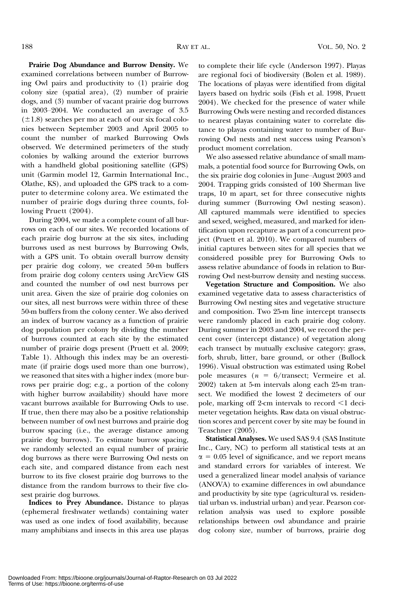Prairie Dog Abundance and Burrow Density. We examined correlations between number of Burrowing Owl pairs and productivity to (1) prairie dog colony size (spatial area), (2) number of prairie dogs, and (3) number of vacant prairie dog burrows in 2003–2004. We conducted an average of 3.5  $(\pm 1.8)$  searches per mo at each of our six focal colonies between September 2003 and April 2005 to count the number of marked Burrowing Owls observed. We determined perimeters of the study colonies by walking around the exterior burrows with a handheld global positioning satellite (GPS) unit (Garmin model 12, Garmin International Inc., Olathe, KS), and uploaded the GPS track to a computer to determine colony area. We estimated the number of prairie dogs during three counts, following Pruett (2004).

During 2004, we made a complete count of all burrows on each of our sites. We recorded locations of each prairie dog burrow at the six sites, including burrows used as nest burrows by Burrowing Owls, with a GPS unit. To obtain overall burrow density per prairie dog colony, we created 50-m buffers from prairie dog colony centers using ArcView GIS and counted the number of owl nest burrows per unit area. Given the size of prairie dog colonies on our sites, all nest burrows were within three of these 50-m buffers from the colony center. We also derived an index of burrow vacancy as a function of prairie dog population per colony by dividing the number of burrows counted at each site by the estimated number of prairie dogs present (Pruett et al. 2009; Table 1). Although this index may be an overestimate (if prairie dogs used more than one burrow), we reasoned that sites with a higher index (more burrows per prairie dog; e.g., a portion of the colony with higher burrow availability) should have more vacant burrows available for Burrowing Owls to use. If true, then there may also be a positive relationship between number of owl nest burrows and prairie dog burrow spacing (i.e., the average distance among prairie dog burrows). To estimate burrow spacing, we randomly selected an equal number of prairie dog burrows as there were Burrowing Owl nests on each site, and compared distance from each nest burrow to its five closest prairie dog burrows to the distance from the random burrows to their five closest prairie dog burrows.

Indices to Prey Abundance. Distance to playas (ephemeral freshwater wetlands) containing water was used as one index of food availability, because many amphibians and insects in this area use playas

to complete their life cycle (Anderson 1997). Playas are regional foci of biodiversity (Bolen et al. 1989). The locations of playas were identified from digital layers based on hydric soils (Fish et al. 1998, Pruett 2004). We checked for the presence of water while Burrowing Owls were nesting and recorded distances to nearest playas containing water to correlate distance to playas containing water to number of Burrowing Owl nests and nest success using Pearson's product moment correlation.

We also assessed relative abundance of small mammals, a potential food source for Burrowing Owls, on the six prairie dog colonies in June–August 2003 and 2004. Trapping grids consisted of 100 Sherman live traps, 10 m apart, set for three consecutive nights during summer (Burrowing Owl nesting season). All captured mammals were identified to species and sexed, weighed, measured, and marked for identification upon recapture as part of a concurrent project (Pruett et al. 2010). We compared numbers of initial captures between sites for all species that we considered possible prey for Burrowing Owls to assess relative abundance of foods in relation to Burrowing Owl nest-burrow density and nesting success.

Vegetation Structure and Composition. We also examined vegetative data to assess characteristics of Burrowing Owl nesting sites and vegetative structure and composition. Two 25-m line intercept transects were randomly placed in each prairie dog colony. During summer in 2003 and 2004, we record the percent cover (intercept distance) of vegetation along each transect by mutually exclusive category: grass, forb, shrub, litter, bare ground, or other (Bullock 1996). Visual obstruction was estimated using Robel pole measures ( $n = 6$ /transect; Vermeire et al. 2002) taken at 5-m intervals along each 25-m tran‐ sect. We modified the lowest 2 decimeters of our pole, marking off 2-cm intervals to record  $\leq 1$  decimeter vegetation heights. Raw data on visual obstruction scores and percent cover by site may be found in Teaschner (2005).

Statistical Analyses. We used SAS 9.4 (SAS Institute Inc., Cary, NC) to perform all statistical tests at an  $\alpha$  = 0.05 level of significance, and we report means and standard errors for variables of interest. We used a generalized linear model analysis of variance (ANOVA) to examine differences in owl abundance and productivity by site type (agricultural vs. residential urban vs. industrial urban) and year. Pearson correlation analysis was used to explore possible relationships between owl abundance and prairie dog colony size, number of burrows, prairie dog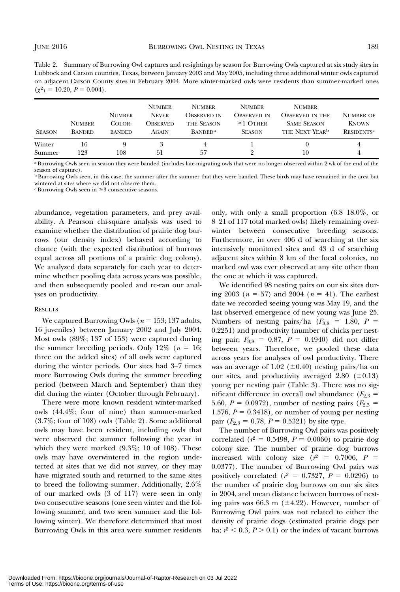Table 2. Summary of Burrowing Owl captures and resightings by season for Burrowing Owls captured at six study sites in Lubbock and Carson counties, Texas, between January 2003 and May 2005, including three additional winter owls captured on adjacent Carson County sites in February 2004. More winter-marked owls were residents than summer-marked ones  $(\chi^2_1 = 10.20, P = 0.004).$ 

| <b>SEASON</b> | <b>NUMBER</b><br><b>BANDED</b> | <b>NUMBER</b><br>COLOR-<br><b>BANDED</b> | <b>NUMBER</b><br><b>NEVER</b><br>Observed<br>AGAIN | <b>NUMBER</b><br><b>OBSERVED IN</b><br><b>THE SEASON</b><br><b>BANDED<sup>a</sup></b> | <b>NUMBER</b><br>OBSERVED IN<br>$\geq$ 1 OTHER<br><b>SEASON</b> | <b>NUMBER</b><br><b>OBSERVED IN THE</b><br><b>SAME SEASON</b><br>THE NEXT YEAR <sup>b</sup> | <b>NUMBER OF</b><br><b>KNOWN</b><br><b>RESIDENTS<sup>c</sup></b> |
|---------------|--------------------------------|------------------------------------------|----------------------------------------------------|---------------------------------------------------------------------------------------|-----------------------------------------------------------------|---------------------------------------------------------------------------------------------|------------------------------------------------------------------|
| Winter        | 16                             | 9                                        | 3                                                  | 4                                                                                     | 9                                                               | 0                                                                                           | 4                                                                |
| Summer        | 123                            | $_{108}$                                 | 51                                                 | .57                                                                                   |                                                                 | 10                                                                                          | 4                                                                |

<sup>a</sup> Burrowing Owls seen in season they were banded (includes late-migrating owls that were no longer observed within 2 wk of the end of the season of capture).

**b Burrowing Owls seen, in this case, the summer after the summer that they were banded. These birds may have remained in the area but** wintered at sites where we did not observe them.

 $\epsilon$  Burrowing Owls seen in  $\geq$  3 consecutive seasons.

abundance, vegetation parameters, and prey availability. A Pearson chi-square analysis was used to examine whether the distribution of prairie dog burrows (our density index) behaved according to chance (with the expected distribution of burrows equal across all portions of a prairie dog colony). We analyzed data separately for each year to determine whether pooling data across years was possible, and then subsequently pooled and re-ran our analyses on productivity.

#### **RESULTS**

We captured Burrowing Owls ( $n = 153$ ; 137 adults, 16 juveniles) between January 2002 and July 2004. Most owls (89%; 137 of 153) were captured during the summer breeding periods. Only  $12\%$  ( $n = 16$ ; three on the added sites) of all owls were captured during the winter periods. Our sites had 3–7 times more Burrowing Owls during the summer breeding period (between March and September) than they did during the winter (October through February).

There were more known resident winter-marked owls (44.4%; four of nine) than summer-marked (3.7%; four of 108) owls (Table 2). Some additional owls may have been resident, including owls that were observed the summer following the year in which they were marked (9.3%; 10 of 108). These owls may have overwintered in the region undetected at sites that we did not survey, or they may have migrated south and returned to the same sites to breed the following summer. Additionally, 2.6% of our marked owls (3 of 117) were seen in only two consecutive seasons (one seen winter and the following summer, and two seen summer and the following winter). We therefore determined that most Burrowing Owls in this area were summer residents

only, with only a small proportion (6.8–18.0%, or 8–21 of 117 total marked owls) likely remaining overwinter between consecutive breeding seasons. Furthermore, in over 406 d of searching at the six intensively monitored sites and 43 d of searching adjacent sites within 8 km of the focal colonies, no marked owl was ever observed at any site other than the one at which it was captured.

We identified 98 nesting pairs on our six sites during 2003 ( $n = 57$ ) and 2004 ( $n = 41$ ). The earliest date we recorded seeing young was May 19, and the last observed emergence of new young was June 25. Numbers of nesting pairs/ha ( $F_{3,8}$  = 1.80, P = 0.2251) and productivity (number of chicks per nesting pair;  $F_{3,8} = 0.87, P = 0.4940$  did not differ between years. Therefore, we pooled these data across years for analyses of owl productivity. There was an average of 1.02 ( $\pm$ 0.40) nesting pairs/ha on our sites, and productivity averaged  $2.80$  ( $\pm 0.13$ ) young per nesting pair (Table 3). There was no significant difference in overall owl abundance  $(F_{2,3} =$ 5.60,  $P = 0.0972$ ), number of nesting pairs ( $F_{2,3} =$ 1.576,  $P = 0.3418$ , or number of young per nesting pair  $(F_{2,3} = 0.78, P = 0.5321)$  by site type.

The number of Burrowing Owl pairs was positively correlated ( $r^2 = 0.5498$ ,  $P = 0.0060$ ) to prairie dog colony size. The number of prairie dog burrows increased with colony size  $(r^2 = 0.7006, P =$ 0.0377). The number of Burrowing Owl pairs was positively correlated ( $r^2 = 0.7327$ ,  $P = 0.0296$ ) to the number of prairie dog burrows on our six sites in 2004, and mean distance between burrows of nesting pairs was 66.3 m ( $\pm$ 4.22). However, number of Burrowing Owl pairs was not related to either the density of prairie dogs (estimated prairie dogs per ha;  $r^2$  < 0.3, P > 0.1) or the index of vacant burrows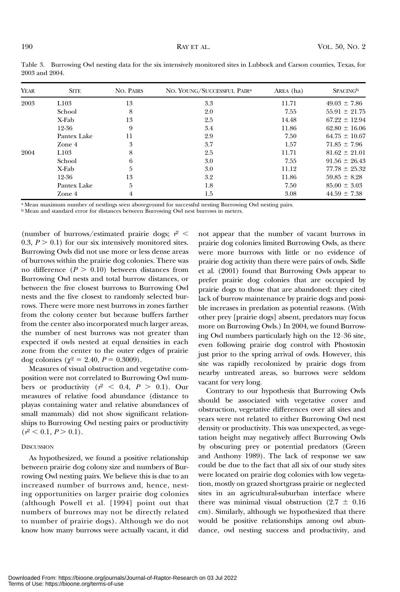| <b>YEAR</b> | <b>SITE</b> | <b>NO. PAIRS</b> | NO. YOUNG/SUCCESSFUL PAIR <sup>a</sup> | AREA (ha) | <b>SPACING</b> <sup>b</sup> |
|-------------|-------------|------------------|----------------------------------------|-----------|-----------------------------|
| 2003        | L103        | 13               | 3.3                                    | 11.71     | $49.03 \pm 7.86$            |
|             | School      | 8                | 2.0                                    | 7.55      | $55.91 \pm 21.75$           |
|             | X-Fab       | 13               | 2.5                                    | 14.48     | $67.22 \pm 12.94$           |
|             | 12-36       | 9                | 3.4                                    | 11.86     | $62.80 \pm 16.06$           |
|             | Pantex Lake | 11               | 2.9                                    | 7.50      | $64.75 \pm 10.67$           |
|             | Zone 4      | 3                | 3.7                                    | 1.57      | $71.85 \pm 7.96$            |
| 2004        | L103        | 8                | 2.5                                    | 11.71     | $81.62 \pm 21.01$           |
|             | School      | 6                | 3.0                                    | 7.55      | $91.56 \pm 26.43$           |
|             | X-Fab       | 5                | 3.0                                    | 11.12     | $77.78 \pm 25.32$           |
|             | 12-36       | 13               | 3.2                                    | 11.86     | $59.85 \pm 8.28$            |
|             | Pantex Lake | 5                | 1.8                                    | 7.50      | $85.00 \pm 3.03$            |
|             | Zone 4      | 4                | 1.5                                    | 3.08      | $44.59 \pm 7.38$            |

Table 3. Burrowing Owl nesting data for the six intensively monitored sites in Lubbock and Carson counties, Texas, for 2003 and 2004.

a Mean maximum number of nestlings seen aboveground for successful nesting Burrowing Owl nesting pairs.

<sup>b</sup> Mean and standard error for distances between Burrowing Owl nest burrows in meters.

(number of burrows/estimated prairie dogs;  $r^2$  < 0.3,  $P > 0.1$ ) for our six intensively monitored sites. Burrowing Owls did not use more or less dense areas of burrows within the prairie dog colonies. There was no difference  $(P > 0.10)$  between distances from Burrowing Owl nests and total burrow distances, or between the five closest burrows to Burrowing Owl nests and the five closest to randomly selected burrows. There were more nest burrows in zones farther from the colony center but because buffers farther from the center also incorporated much larger areas, the number of nest burrows was not greater than expected if owls nested at equal densities in each zone from the center to the outer edges of prairie dog colonies ( $\chi^2 = 2.40$ ,  $P = 0.3009$ ).

Measures of visual obstruction and vegetative composition were not correlated to Burrowing Owl numbers or productivity  $(r^2 < 0.4, P > 0.1)$ . Our measures of relative food abundance (distance to playas containing water and relative abundances of small mammals) did not show significant relationships to Burrowing Owl nesting pairs or productivity  $(r^2 < 0.1, P > 0.1).$ 

## **DISCUSSION**

As hypothesized, we found a positive relationship between prairie dog colony size and numbers of Burrowing Owl nesting pairs. We believe this is due to an increased number of burrows and, hence, nesting opportunities on larger prairie dog colonies (although Powell et al. [1994] point out that numbers of burrows may not be directly related to number of prairie dogs). Although we do not know how many burrows were actually vacant, it did

not appear that the number of vacant burrows in prairie dog colonies limited Burrowing Owls, as there were more burrows with little or no evidence of prairie dog activity than there were pairs of owls. Sidle et al. (2001) found that Burrowing Owls appear to prefer prairie dog colonies that are occupied by prairie dogs to those that are abandoned: they cited lack of burrow maintenance by prairie dogs and possible increases in predation as potential reasons. (With other prey [prairie dogs] absent, predators may focus more on Burrowing Owls.) In 2004, we found Burrowing Owl numbers particularly high on the 12–36 site, even following prairie dog control with Phostoxin just prior to the spring arrival of owls. However, this site was rapidly recolonized by prairie dogs from nearby untreated areas, so burrows were seldom vacant for very long.

Contrary to our hypothesis that Burrowing Owls should be associated with vegetative cover and obstruction, vegetative differences over all sites and years were not related to either Burrowing Owl nest density or productivity. This was unexpected, as vegetation height may negatively affect Burrowing Owls by obscuring prey or potential predators (Green and Anthony 1989). The lack of response we saw could be due to the fact that all six of our study sites were located on prairie dog colonies with low vegetation, mostly on grazed shortgrass prairie or neglected sites in an agricultural-suburban interface where there was minimal visual obstruction (2.7  $\pm$  0.16 cm). Similarly, although we hypothesized that there would be positive relationships among owl abundance, owl nesting success and productivity, and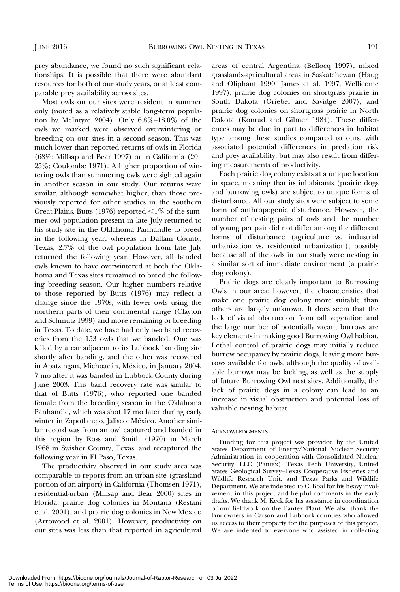prey abundance, we found no such significant relationships. It is possible that there were abundant resources for both of our study years, or at least comparable prey availability across sites.

Most owls on our sites were resident in summer only (noted as a relatively stable long-term population by McIntyre 2004). Only  $6.8\%$ -18.0% of the owls we marked were observed overwintering or breeding on our sites in a second season. This was much lower than reported returns of owls in Florida (68%; Millsap and Bear 1997) or in California (20– 25%; Coulombe 1971). A higher proportion of wintering owls than summering owls were sighted again in another season in our study. Our returns were similar, although somewhat higher, than those previously reported for other studies in the southern Great Plains. Butts (1976) reported  $\leq$ 1% of the summer owl population present in late July returned to his study site in the Oklahoma Panhandle to breed in the following year, whereas in Dallam County, Texas, 2.7% of the owl population from late July returned the following year. However, all banded owls known to have overwintered at both the Oklahoma and Texas sites remained to breed the following breeding season. Our higher numbers relative to those reported by Butts (1976) may reflect a change since the 1970s, with fewer owls using the northern parts of their continental range (Clayton and Schmutz 1999) and more remaining or breeding in Texas. To date, we have had only two band recoveries from the 153 owls that we banded. One was killed by a car adjacent to its Lubbock banding site shortly after banding, and the other was recovered in Apatzingan, Michoacán, México, in January 2004, 7 mo after it was banded in Lubbock County during June 2003. This band recovery rate was similar to that of Butts (1976), who reported one banded female from the breeding season in the Oklahoma Panhandle, which was shot 17 mo later during early winter in Zapotlanejo, Jalisco, México. Another similar record was from an owl captured and banded in this region by Ross and Smith (1970) in March 1968 in Swisher County, Texas, and recaptured the following year in El Paso, Texas.

The productivity observed in our study area was comparable to reports from an urban site (grassland portion of an airport) in California (Thomsen 1971), residential-urban (Millsap and Bear 2000) sites in Florida, prairie dog colonies in Montana (Restani et al. 2001), and prairie dog colonies in New Mexico (Arrowood et al. 2001). However, productivity on our sites was less than that reported in agricultural areas of central Argentina (Bellocq 1997), mixed grasslands-agricultural areas in Saskatchewan (Haug and Oliphant 1990, James et al. 1997, Wellicome 1997), prairie dog colonies on shortgrass prairie in South Dakota (Griebel and Savidge 2007), and prairie dog colonies on shortgrass prairie in North Dakota (Konrad and Gilmer 1984). These differences may be due in part to differences in habitat type among these studies compared to ours, with associated potential differences in predation risk and prey availability, but may also result from differing measurements of productivity.

Each prairie dog colony exists at a unique location in space, meaning that its inhabitants (prairie dogs and burrowing owls) are subject to unique forms of disturbance. All our study sites were subject to some form of anthropogenic disturbance. However, the number of nesting pairs of owls and the number of young per pair did not differ among the different forms of disturbance (agriculture vs. industrial urbanization vs. residential urbanization), possibly because all of the owls in our study were nesting in a similar sort of immediate environment (a prairie dog colony).

Prairie dogs are clearly important to Burrowing Owls in our area; however, the characteristics that make one prairie dog colony more suitable than others are largely unknown. It does seem that the lack of visual obstruction from tall vegetation and the large number of potentially vacant burrows are key elements in making good Burrowing Owl habitat. Lethal control of prairie dogs may initially reduce burrow occupancy by prairie dogs, leaving more burrows available for owls, although the quality of available burrows may be lacking, as well as the supply of future Burrowing Owl nest sites. Additionally, the lack of prairie dogs in a colony can lead to an increase in visual obstruction and potential loss of valuable nesting habitat.

#### **ACKNOWLEDGMENTS**

Funding for this project was provided by the United States Department of Energy/National Nuclear Security Administration in cooperation with Consolidated Nuclear Security, LLC (Pantex), Texas Tech University, United States Geological Survey–Texas Cooperative Fisheries and Wildlife Research Unit, and Texas Parks and Wildlife Department. We are indebted to C. Boal for his heavy involvement in this project and helpful comments in the early drafts. We thank M. Keck for his assistance in coordination of our fieldwork on the Pantex Plant. We also thank the landowners in Carson and Lubbock counties who allowed us access to their property for the purposes of this project. We are indebted to everyone who assisted in collecting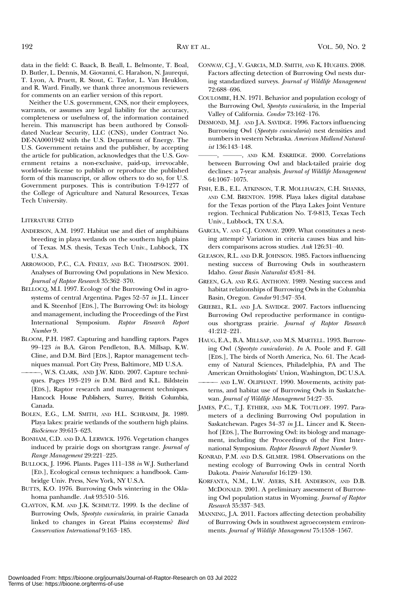data in the field: C. Baack, B. Beall, L. Belmonte, T. Boal, D. Butler, L. Dennis, M. Giovanni, C. Haralson, N. Jaurequi, T. Lyon, A. Pruett, R. Stout, C. Taylor, L. Van Heuklon, and R. Ward. Finally, we thank three anonymous reviewers for comments on an earlier version of this report.

Neither the U.S. government, CNS, nor their employees, warrants, or assumes any legal liability for the accuracy, completeness or usefulness of, the information contained herein. This manuscript has been authored by Consolidated Nuclear Security, LLC (CNS), under Contract No. DE-NA0001942 with the U.S. Department of Energy. The U.S. Government retains and the publisher, by accepting the article for publication, acknowledges that the U.S. Government retains a non-exclusive, paid-up, irrevocable, world-wide license to publish or reproduce the published form of this manuscript, or allow others to do so, for U.S. Government purposes. This is contribution T-9-1277 of the College of Agriculture and Natural Resources, Texas Tech University.

#### LITERATURE CITED

- ANDERSON, A.M. 1997. Habitat use and diet of amphibians breeding in playa wetlands on the southern high plains of Texas. M.S. thesis, Texas Tech Univ., Lubbock, TX U.S.A.
- ARROWOOD, P.C., C.A. FINELY, AND B.C. THOMPSON. 2001. Analyses of Burrowing Owl populations in New Mexico. Journal of Raptor Research 35:362–370.
- BELLOCQ, M.I. 1997. Ecology of the Burrowing Owl in agrosystems of central Argentina. Pages 52–57 in J.L. Lincer and K. Steenhof [EDS.], The Burrowing Owl: its biology and management, including the Proceedings of the First International Symposium. Raptor Research Report Number 9.
- BLOOM, P.H. 1987. Capturing and handling raptors. Pages 99–123 in B.A. Giron Pendleton, B.A. Millsap, K.W. Cline, and D.M. Bird [EDS.], Raptor management techniques manual. Port City Press, Baltimore, MD U.S.A.
- ————, W.S. CLARK, AND J.W. KIDD. 2007. Capture techniques. Pages 193–219 in D.M. Bird and K.L. Bildstein [EDS.], Raptor research and management techniques. Hancock House Publishers, Surrey, British Columbia, Canada.
- BOLEN, E.G., L.M. SMITH, AND H.L. SCHRAMM, JR. 1989. Playa lakes: prairie wetlands of the southern high plains. BioScience 39:615–623.
- BONHAM, C.D. AND D.A. LERWICK. 1976. Vegetation changes induced by prairie dogs on shortgrass range. Journal of Range Management 29:221–225.
- BULLOCK, J. 1996. Plants. Pages 111–138 in W.J. Sutherland [ED.], Ecological census techniques: a handbook. Cambridge Univ. Press, New York, NY U.S.A.
- BUTTS, K.O. 1976. Burrowing Owls wintering in the Oklahoma panhandle. Auk 93:510–516.
- CLAYTON, K.M. AND J.K. SCHMUTZ. 1999. Is the decline of Burrowing Owls, Speotyto cunicularia, in prairie Canada linked to changes in Great Plains ecosystems? Bird Conservation International 9:163–185.
- CONWAY, C.J., V. GARCIA, M.D. SMITH, AND K. HUGHES. 2008. Factors affecting detection of Burrowing Owl nests during standardized surveys. Journal of Wildlife Management 72:688–696.
- COULOMBE, H.N. 1971. Behavior and population ecology of the Burrowing Owl, Speotyto cunicularia, in the Imperial Valley of California. Condor 73:162–176.
- DESMOND, M.J. AND J.A. SAVIDGE. 1996. Factors influencing Burrowing Owl (Speotyto cunicularia) nest densities and numbers in western Nebraska. American Midland Naturalist 136:143–148.
- ———, ———, AND K.M. ESKRIDGE. 2000. Correlations between Burrowing Owl and black-tailed prairie dog declines: a 7-year analysis. Journal of Wildlife Management 64:1067–1075.
- FISH, E.B., E.L. ATKINSON, T.R. MOLLHAGEN, C.H. SHANKS, AND C.M. BRENTON. 1998. Playa lakes digital database for the Texas portion of the Playa Lakes Joint Venture region. Technical Publication No. T-9-813, Texas Tech Univ., Lubbock, TX U.S.A.
- GARCIA, V. AND C.J. CONWAY. 2009. What constitutes a nesting attempt? Variation in criteria causes bias and hinders comparisons across studies. Auk 126:31–40.
- GLEASON, R.L. AND D.R. JOHNSON. 1985. Factors influencing nesting success of Burrowing Owls in southeastern Idaho. Great Basin Naturalist 45:81–84.
- GREEN, G.A. AND R.G. ANTHONY. 1989. Nesting success and habitat relationships of Burrowing Owls in the Columbia Basin, Oregon. Condor 91:347–354.
- GRIEBEL, R.L. AND J.A. SAVIDGE. 2007. Factors influencing Burrowing Owl reproductive performance in contiguous shortgrass prairie. Journal of Raptor Research 41:212–221.
- HAUG, E.A., B.A. MILLSAP, AND M.S. MARTELL. 1993. Burrowing Owl (Speotyto cunicularia). In A. Poole and F. Gill [EDS.], The birds of North America, No. 61. The Academy of Natural Sciences, Philadelphia, PA and The American Ornithologists' Union, Washington, DC U.S.A.
- ———— AND L.W. OLIPHANT. 1990. Movements, activity patterns, and habitat use of Burrowing Owls in Saskatchewan. Journal of Wildlife Management 54:27–35.
- JAMES, P.C., T.J. ETHIER, AND M.K. TOUTLOFF. 1997. Parameters of a declining Burrowing Owl population in Saskatchewan. Pages 34–37 in J.L. Lincer and K. Steenhof [EDS.], The Burrowing Owl: its biology and management, including the Proceedings of the First Inter‐ national Symposium. Raptor Research Report Number 9.
- KONRAD, P.M. AND D.S. GILMER. 1984. Observations on the nesting ecology of Burrowing Owls in central North Dakota. Prairie Naturalist 16:129–130.
- KORFANTA, N.M., L.W. AYERS, S.H. ANDERSON, AND D.B. MCDONALD. 2001. A preliminary assessment of Burrowing Owl population status in Wyoming. Journal of Raptor Research 35:337–343.
- MANNING, J.A. 2011. Factors affecting detection probability of Burrowing Owls in southwest agroecosystem environments. Journal of Wildlife Management 75:1558–1567.